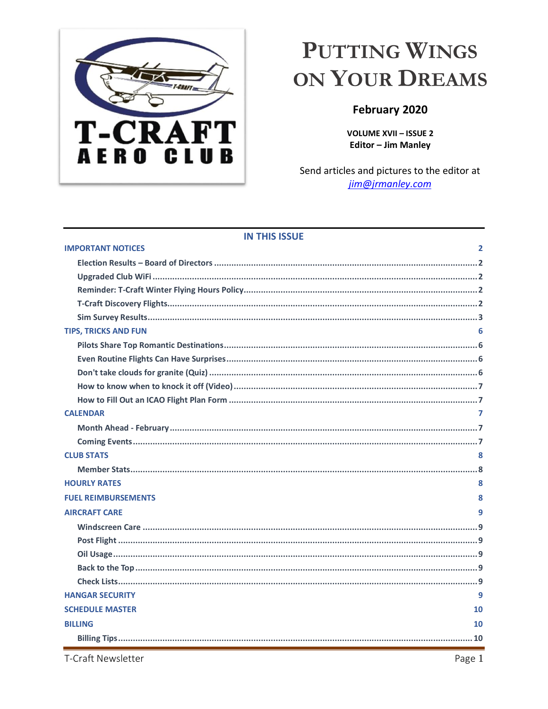

# <span id="page-0-0"></span>PUTTING WINGS ON YOUR DREAMS

## February 2020

**VOLUME XVII - ISSUE 2 Editor - Jim Manley** 

Send articles and pictures to the editor at jim@jrmanley.com

| <b>IN THIS ISSUE</b>                       |  |  |  |  |
|--------------------------------------------|--|--|--|--|
| <b>IMPORTANT NOTICES</b><br>$\overline{2}$ |  |  |  |  |
|                                            |  |  |  |  |
|                                            |  |  |  |  |
|                                            |  |  |  |  |
|                                            |  |  |  |  |
|                                            |  |  |  |  |
| <b>TIPS, TRICKS AND FUN</b>                |  |  |  |  |
|                                            |  |  |  |  |
|                                            |  |  |  |  |
|                                            |  |  |  |  |
|                                            |  |  |  |  |
|                                            |  |  |  |  |
| <b>CALENDAR</b><br>7                       |  |  |  |  |
|                                            |  |  |  |  |
|                                            |  |  |  |  |
| <b>CLUB STATS</b><br>8                     |  |  |  |  |
|                                            |  |  |  |  |
| <b>HOURLY RATES</b><br>8                   |  |  |  |  |
| <b>FUEL REIMBURSEMENTS</b><br>8            |  |  |  |  |
| <b>AIRCRAFT CARE</b><br>9                  |  |  |  |  |
|                                            |  |  |  |  |
|                                            |  |  |  |  |
|                                            |  |  |  |  |
|                                            |  |  |  |  |
|                                            |  |  |  |  |
| <b>HANGAR SECURITY</b><br>q                |  |  |  |  |
| <b>SCHEDULE MASTER</b><br>10               |  |  |  |  |
| <b>BILLING</b><br>10                       |  |  |  |  |
|                                            |  |  |  |  |

T-Craft Newsletter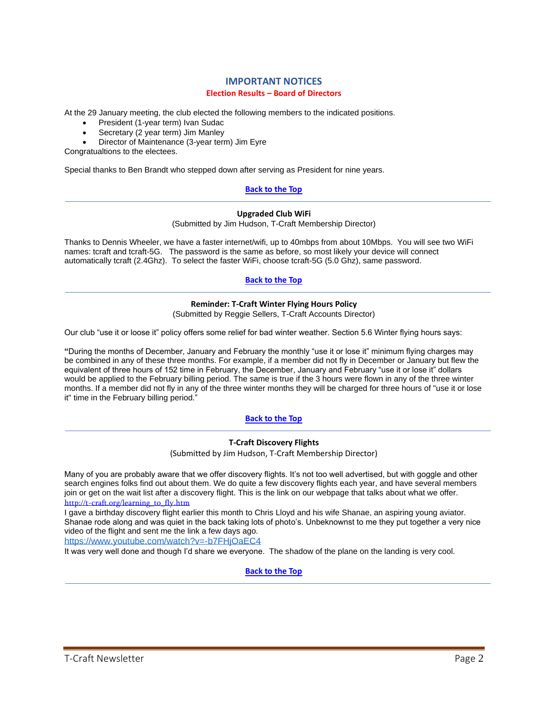## **IMPORTANT NOTICES Election Results – Board of Directors**

<span id="page-1-1"></span><span id="page-1-0"></span>At the 29 January meeting, the club elected the following members to the indicated positions.

- President (1-year term) Ivan Sudac
- Secretary (2 year term) Jim Manley
- Director of Maintenance (3-year term) Jim Eyre

Congratualtions to the electees.

Special thanks to Ben Brandt who stepped down after serving as President for nine years.

#### **[Back to the Top](#page-0-0)**

#### **Upgraded Club WiFi**

(Submitted by Jim Hudson, T-Craft Membership Director)

<span id="page-1-2"></span>Thanks to Dennis Wheeler, we have a faster internet/wifi, up to 40mbps from about 10Mbps. You will see two WiFi names: tcraft and tcraft-5G. The password is the same as before, so most likely your device will connect automatically tcraft (2.4Ghz). To select the faster WiFi, choose tcraft-5G (5.0 Ghz), same password.

## **[Back to the Top](#page-0-0)**

#### **Reminder: T-Craft Winter Flying Hours Policy**

(Submitted by Reggie Sellers, T-Craft Accounts Director)

<span id="page-1-3"></span>Our club "use it or loose it" policy offers some relief for bad winter weather. Section 5.6 Winter flying hours says:

**"**During the months of December, January and February the monthly "use it or lose it" minimum flying charges may be combined in any of these three months. For example, if a member did not fly in December or January but flew the equivalent of three hours of 152 time in February, the December, January and February "use it or lose it" dollars would be applied to the February billing period. The same is true if the 3 hours were flown in any of the three winter months. If a member did not fly in any of the three winter months they will be charged for three hours of "use it or lose it" time in the February billing period."

## **[Back to the Top](#page-0-0)**

#### **T-Craft Discovery Flights**

(Submitted by Jim Hudson, T-Craft Membership Director)

<span id="page-1-4"></span>Many of you are probably aware that we offer discovery flights. It's not too well advertised, but with goggle and other search engines folks find out about them. We do quite a few discovery flights each year, and have several members join or get on the wait list after a discovery flight. This is the link on our webpage that talks about what we offer. [http://t-craft.org/learning\\_to\\_fly.htm](http://t-craft.org/learning_to_fly.htm)

I gave a birthday discovery flight earlier this month to Chris Lloyd and his wife Shanae, an aspiring young aviator. Shanae rode along and was quiet in the back taking lots of photo's. Unbeknownst to me they put together a very nice video of the flight and sent me the link a few days ago.

<https://www.youtube.com/watch?v=-b7FHjOaEC4>

It was very well done and though I'd share we everyone. The shadow of the plane on the landing is very cool.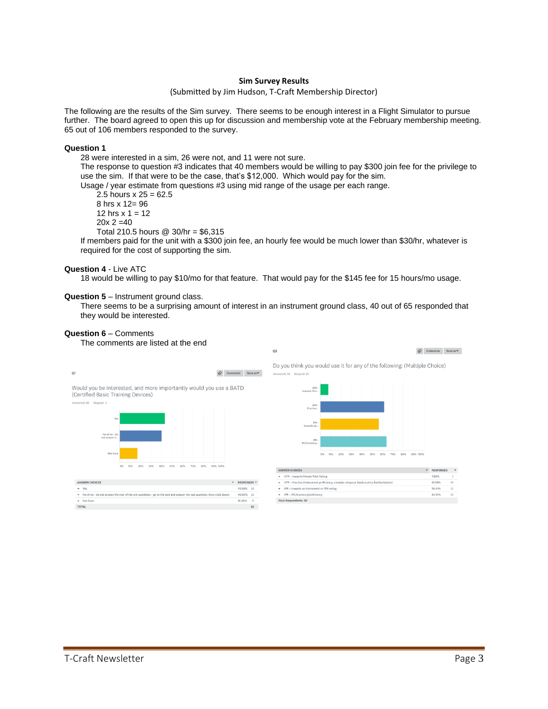#### **Sim Survey Results**

#### (Submitted by Jim Hudson, T-Craft Membership Director)

<span id="page-2-0"></span>The following are the results of the Sim survey. There seems to be enough interest in a Flight Simulator to pursue further. The board agreed to open this up for discussion and membership vote at the February membership meeting. 65 out of 106 members responded to the survey.

#### **Question 1**

28 were interested in a sim, 26 were not, and 11 were not sure.

The response to question #3 indicates that 40 members would be willing to pay \$300 join fee for the privilege to use the sim. If that were to be the case, that's \$12,000. Which would pay for the sim.

Usage / year estimate from questions #3 using mid range of the usage per each range.

2.5 hours  $x = 25 = 62.5$ 8 hrs x 12= 96 12 hrs  $x = 12$  $20x 2 = 40$ 

Total 210.5 hours @ 30/hr = \$6,315

If members paid for the unit with a \$300 join fee, an hourly fee would be much lower than \$30/hr, whatever is required for the cost of supporting the sim.

#### **Question 4** - Live ATC

18 would be willing to pay \$10/mo for that feature. That would pay for the \$145 fee for 15 hours/mo usage.

#### **Question 5** – Instrument ground class.

There seems to be a surprising amount of interest in an instrument ground class, 40 out of 65 responded that they would be interested.

#### **Question 6** – Comments

The comments are listed at the end



| <b>ANSWER CHOICES</b>                                                                                                    | $\overline{\phantom{a}}$ | RESPONSES Y |    |
|--------------------------------------------------------------------------------------------------------------------------|--------------------------|-------------|----|
| Yes                                                                                                                      |                          | 43,08% 28   |    |
| v No (if no - do not answer the rest of the sim questions - go to the end and answer the last question, then click Done) |                          | 40.00% 26   |    |
| - Not Sure                                                                                                               |                          | 16.92%      | 11 |
| <b>TOTAL</b>                                                                                                             |                          |             | 65 |



| <b>ANSWER CHOICES</b>                                                                       | ٠ | <b>RESPONSES</b> | ٠  |
|---------------------------------------------------------------------------------------------|---|------------------|----|
| VFR - towards Private Pilot Rating<br>٠                                                     |   | 7.69%            | 3  |
| VFR - Practice (Instrument proficiency, complex airspace, backcountry familiarization)<br>٠ |   | 61.54%           | 24 |
| IFR - towards an instrument or CFII rating<br>٠                                             |   | 56.41%           | 22 |
| IFR - IPC/Currency/proficiency<br>٠                                                         |   | 64.10%           | 25 |
| <b>Total Respondents: 39</b>                                                                |   |                  |    |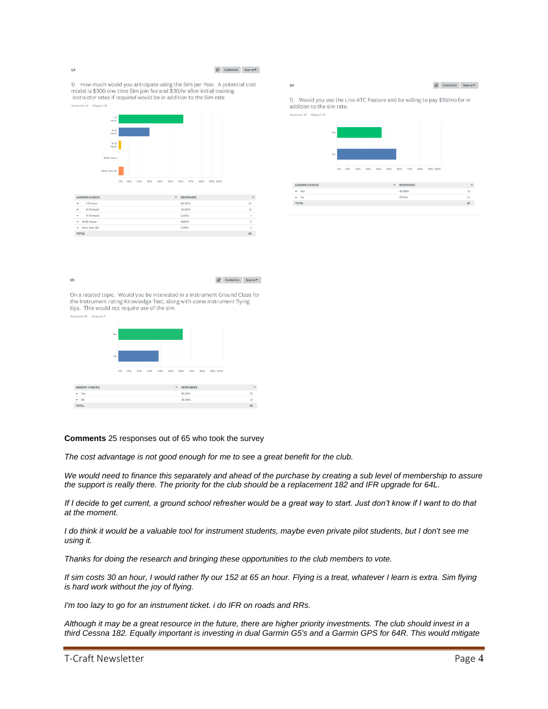$Q3$ 

 $Q<sub>5</sub>$ 

#### $\bigotimes \quad \text{Customize} \qquad \text{Save as} \blacktriangledown$

 $\bigotimes \hspace{-3.8mm} \bullet \hspace{3.8mm} \text{Customer} \hspace{3.8mm} \text{Save as} \blacktriangledown$ 

 $Q<sub>4</sub>$ 

1) How much would you anticipate using the Sim per Year. A potential cost model is \$300 one time Sim join fee and \$30/hr after initial training. Instructor rates if required would be in addition to the Sim rate



|                                          | ------------ |                |
|------------------------------------------|--------------|----------------|
| 1-5 hours<br>$\;$                        | 62.50%       | 25             |
| 6-10 hours<br>$\blacksquare$             | 30.00%       | 12             |
| 11-15 hours<br>٠                         | 2.50%        |                |
| $-16-20$ hours                           | 0.00%        | Ω              |
| More than 20<br>$\overline{\phantom{a}}$ | 5.00%        | $\overline{2}$ |
| <b>TOTAL</b>                             |              | 40             |
|                                          |              |                |

 $\label{eq:1} \bigotimes \hspace{-3.8mm} \bigotimes \hspace{3.8mm} \text{Customize} \hspace{3.8mm} \text{Save as} \, \blacktriangledown \hspace{3.8mm}$ 

1) Would you use the Live ATC Feature and be willing to pay \$10/mo.for in addition to the sim rate.



| <b>ANSWER CHOICES</b> | <b>RESPONSES</b><br>٠ | ٠  |
|-----------------------|-----------------------|----|
| Yes<br>٠              | 42.86%                | 18 |
| $-$ No                | 57,14%                | 24 |
| <b>TOTAL</b>          |                       | 42 |
|                       |                       |    |

On a related topic. Would you be interested in a Instrument Ground Class for<br>the Instrument rating Knowledge Test, along with some instrument flying tips. This would not require use of the sim.



#### **Comments** 25 responses out of 65 who took the survey

*The cost advantage is not good enough for me to see a great benefit for the club.*

*We would need to finance this separately and ahead of the purchase by creating a sub level of membership to assure the support is really there. The priority for the club should be a replacement 182 and IFR upgrade for 64L.* 

*If I decide to get current, a ground school refresher would be a great way to start. Just don't know if I want to do that at the moment.* 

*I do think it would be a valuable tool for instrument students, maybe even private pilot students, but I don't see me using it.* 

*Thanks for doing the research and bringing these opportunities to the club members to vote.*

*If sim costs 30 an hour, I would rather fly our 152 at 65 an hour. Flying is a treat, whatever I learn is extra. Sim flying is hard work without the joy of flying.*

*I'm too lazy to go for an instrument ticket. i do IFR on roads and RRs.*

*Although it may be a great resource in the future, there are higher priority investments. The club should invest in a third Cessna 182. Equally important is investing in dual Garmin G5's and a Garmin GPS for 64R. This would mitigate* 

```
T-Craft Newsletter Page 4
```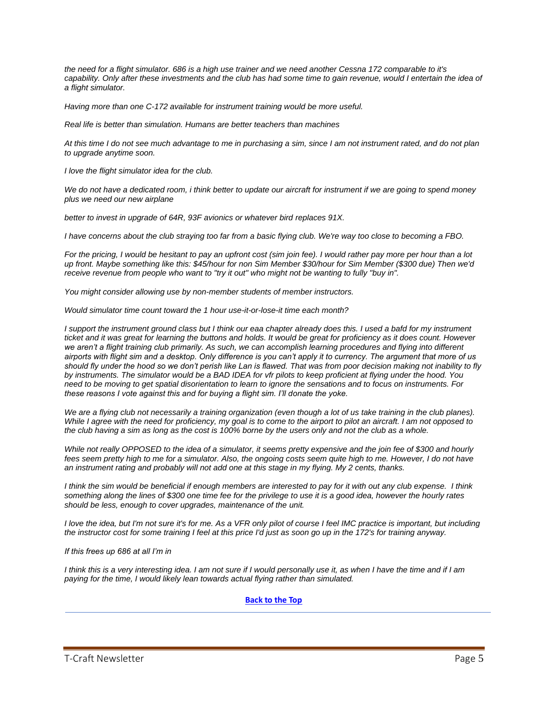*the need for a flight simulator. 686 is a high use trainer and we need another Cessna 172 comparable to it's*  capability. Only after these investments and the club has had some time to gain revenue, would I entertain the idea of *a flight simulator.*

*Having more than one C-172 available for instrument training would be more useful.* 

*Real life is better than simulation. Humans are better teachers than machines*

*At this time I do not see much advantage to me in purchasing a sim, since I am not instrument rated, and do not plan to upgrade anytime soon.*

*I love the flight simulator idea for the club.*

*We do not have a dedicated room, i think better to update our aircraft for instrument if we are going to spend money plus we need our new airplane*

*better to invest in upgrade of 64R, 93F avionics or whatever bird replaces 91X.*

*I have concerns about the club straying too far from a basic flying club. We're way too close to becoming a FBO.*

*For the pricing, I would be hesitant to pay an upfront cost (sim join fee). I would rather pay more per hour than a lot up front. Maybe something like this: \$45/hour for non Sim Member \$30/hour for Sim Member (\$300 due) Then we'd receive revenue from people who want to "try it out" who might not be wanting to fully "buy in".*

*You might consider allowing use by non-member students of member instructors.*

*Would simulator time count toward the 1 hour use-it-or-lose-it time each month?*

*I* support the instrument ground class but *I think our eaa chapter already does this. I used a bafd for my instrument ticket and it was great for learning the buttons and holds. It would be great for proficiency as it does count. However*  we aren't a flight training club primarily. As such, we can accomplish learning procedures and flying into different *airports with flight sim and a desktop. Only difference is you can't apply it to currency. The argument that more of us should fly under the hood so we don't perish like Lan is flawed. That was from poor decision making not inability to fly by instruments. The simulator would be a BAD IDEA for vfr pilots to keep proficient at flying under the hood. You need to be moving to get spatial disorientation to learn to ignore the sensations and to focus on instruments. For these reasons I vote against this and for buying a flight sim. I'll donate the yoke.*

We are a flying club not necessarily a training organization (even though a lot of us take training in the club planes). *While I agree with the need for proficiency, my goal is to come to the airport to pilot an aircraft. I am not opposed to the club having a sim as long as the cost is 100% borne by the users only and not the club as a whole.*

*While not really OPPOSED to the idea of a simulator, it seems pretty expensive and the join fee of \$300 and hourly*  fees seem pretty high to me for a simulator. Also, the ongoing costs seem quite high to me. However, I do not have *an instrument rating and probably will not add one at this stage in my flying. My 2 cents, thanks.*

*I think the sim would be beneficial if enough members are interested to pay for it with out any club expense. I think something along the lines of \$300 one time fee for the privilege to use it is a good idea, however the hourly rates should be less, enough to cover upgrades, maintenance of the unit.*

*I love the idea, but I'm not sure it's for me. As a VFR only pilot of course I feel IMC practice is important, but including the instructor cost for some training I feel at this price I'd just as soon go up in the 172's for training anyway.*

*If this frees up 686 at all I'm in*

*I think this is a very interesting idea. I am not sure if I would personally use it, as when I have the time and if I am paying for the time, I would likely lean towards actual flying rather than simulated.*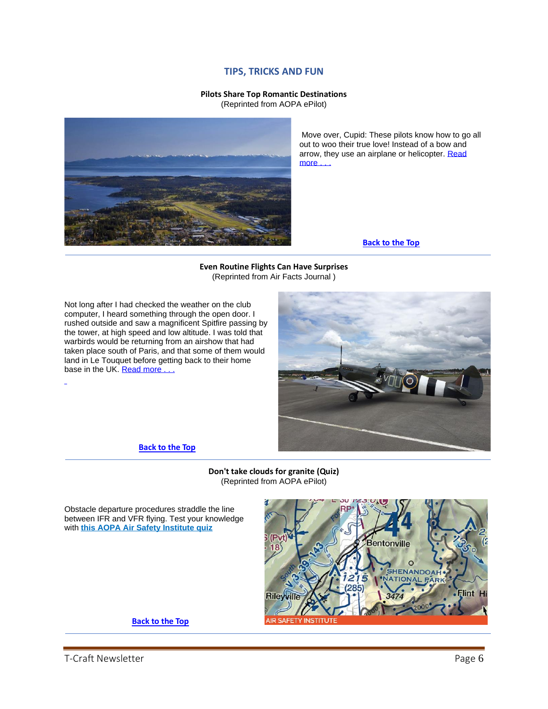## **TIPS, TRICKS AND FUN**

## **Pilots Share Top Romantic Destinations**

(Reprinted from AOPA ePilot)

<span id="page-5-1"></span><span id="page-5-0"></span>

Move over, Cupid: These pilots know how to go all out to woo their true love! Instead of a bow and arrow, they use an airplane or helicopter. [Read](https://www.aopa.org/news-and-media/all-news/2020/january/30/pilots-share-their-top-romantic-destinations?utm_source=epilot&utm_medium=email)  more

**[Back to the Top](#page-0-0)**

**Even Routine Flights Can Have Surprises** (Reprinted from Air Facts Journal )

<span id="page-5-2"></span>Not long after I had checked the weather on the club computer, I heard something through the open door. I rushed outside and saw a magnificent Spitfire passing by the tower, at high speed and low altitude. I was told that warbirds would be returning from an airshow that had taken place south of Paris, and that some of them would land in Le Touquet before getting back to their home base in the UK. Read more



**[Back to the Top](#page-0-0)**

#### **Don't take clouds for granite (Quiz)** (Reprinted from AOPA ePilot)

<span id="page-5-3"></span>Obstacle departure procedures straddle the line between IFR and VFR flying. Test your knowledge with **[this AOPA Air Safety Institute quiz](https://click.mail.aopa.org/?qs=d90cc496dd31bf808ed0f04126059749d96020eb6dc09b05849aa609218d249ce2fff44cb779c14d15af7e5a5dbda20cacaac9e65cdd4b6b10a8ab82a6301443)**

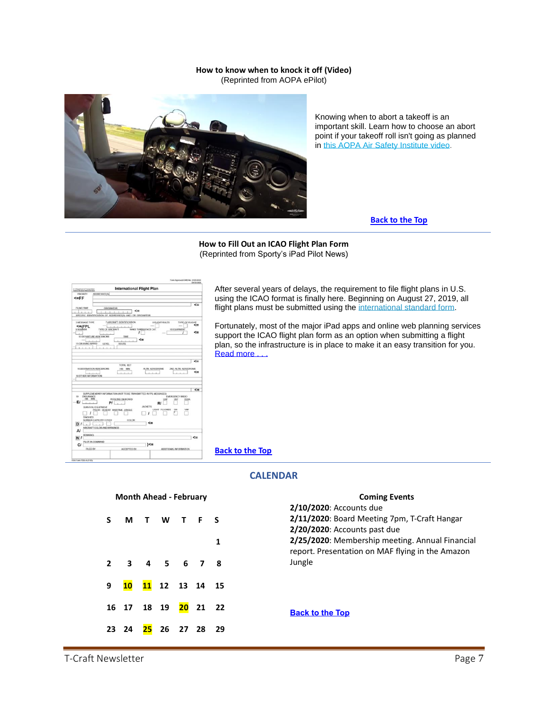#### **How to know when to knock it off (Video)** (Reprinted from AOPA ePilot)

<span id="page-6-0"></span>

Knowing when to abort a takeoff is an important skill. Learn how to choose an abort point if your takeoff roll isn't going as planned in [this AOPA Air Safety Institute video.](https://click.mail.aopa.org/?qs=d90cc496dd31bf803b03ded2198b48d02d5433ba0e2e6e424a76fc32e63631bd7f45d47317e1372e6acd58f18fbd93fd811ee2a6bbdb2a9c)

#### **[Back to the Top](#page-0-0)**

#### **How to Fill Out an ICAO Flight Plan Form** (Reprinted from Sporty's iPad Pilot News)

<span id="page-6-1"></span>

| U.S.Department of Transportation                           | <b>International Flight Plan</b>                                            |              |
|------------------------------------------------------------|-----------------------------------------------------------------------------|--------------|
| Federal Automobile Automobile<br>ADORE SSEEUSY<br>PRIORITY |                                                                             |              |
|                                                            |                                                                             |              |
| <=FF                                                       |                                                                             |              |
|                                                            |                                                                             | <=           |
| FILING TIME                                                | <b>ORIGINATOR</b>                                                           |              |
|                                                            | $\leq$<br>n.<br>$X = 1 - 1$<br>- 1                                          |              |
|                                                            | SPECIFIC IDENTIFICATION OF ADDRESSEE(S) AND / OR ORIGINATOR                 |              |
|                                                            |                                                                             |              |
| 3 MESSAGE TYPE                                             | 7 AIRCRAFT IDENTIFICATION<br><b><i>B FLIGHT RULES</i></b><br>TYPE OF FLIGHT |              |
| $\leq$ =(FPL                                               |                                                                             | <=           |
| <b>DISBARDER</b>                                           | TYPE OF AIRCRAFT<br>WAKE TURBLE ENCE CAT<br>10 EQUIPMENT                    |              |
|                                                            | ı                                                                           | <=           |
| 13 DEPARTURE AERODROME                                     | TIME<br>$\leftarrow$                                                        |              |
|                                                            |                                                                             |              |
| <b>15 CRUISING SPEED</b>                                   | LEVEL<br>ROUTE                                                              |              |
|                                                            |                                                                             |              |
|                                                            |                                                                             |              |
|                                                            |                                                                             |              |
|                                                            |                                                                             | <=           |
|                                                            |                                                                             |              |
|                                                            |                                                                             |              |
|                                                            | TOTAL EET                                                                   |              |
| 16 DESTINATION AERODROME                                   | ALTN AERODROME<br>2ND ALTN AERCIDROME<br>HR MN                              |              |
|                                                            |                                                                             | $\leq$       |
|                                                            |                                                                             |              |
| 18 OTHER INFORMATION                                       |                                                                             |              |
|                                                            |                                                                             |              |
|                                                            |                                                                             | $\leq$       |
|                                                            | SUPPLEMENTARY INFORMATION INOT TO BE TRANSMITTED IN FPL MESSAGES).          |              |
| 19<br>ENDURANCE                                            | <b>EMERGENCY RADIO</b>                                                      |              |
| 164 MW                                                     | PERSONS ON BOARD<br>184<br><b>Viral</b><br><b>ELBA</b>                      |              |
| EI                                                         | PI<br>R                                                                     |              |
| SURVIVAL EQUIPMENT                                         | <b>JACKETS:</b>                                                             |              |
|                                                            | LIGHT FLUORES<br>$-1344$<br>VHF<br>POLAR DESERT MARITIME JUNCEE             |              |
|                                                            |                                                                             |              |
| DINGHIES                                                   |                                                                             |              |
| NUMBER CAPACITY COVER                                      | COLOR<br><=                                                                 |              |
| D/                                                         |                                                                             |              |
| <b><i>NRCRAFT COLOR AND MARKINGS</i></b>                   |                                                                             |              |
| A                                                          |                                                                             |              |
| <b>REMARKS</b>                                             |                                                                             | $\leftarrow$ |
| N                                                          |                                                                             |              |
| PILOT IN COMMAND<br>$C_I$                                  | $\leq$                                                                      |              |

After several years of delays, the requirement to file flight plans in U.S. using the ICAO format is finally here. Beginning on August 27, 2019, all flight plans must be submitted using the [international standard form.](https://www.faa.gov/documentLibrary/media/Form/FAA_7233-4_PRA_07-31-2017.pdf)

Fortunately, most of the major iPad apps and online web planning services support the ICAO flight plan form as an option when submitting a flight plan, so the infrastructure is in place to make it an easy transition for you. Read more ...

**[Back to the Top](#page-0-0)**

## **CALENDAR**

#### <span id="page-6-2"></span>**Month Ahead - February**

<span id="page-6-3"></span>

| S M T W T F S                         |  |  |   |
|---------------------------------------|--|--|---|
|                                       |  |  | 1 |
| 2 3 4 5 6 7 8                         |  |  |   |
| 9 10 11 12 13 14 15                   |  |  |   |
| 16 17 18 19 20 21 22                  |  |  |   |
| 23  24 <mark>25</mark> 26  27  28  29 |  |  |   |

<span id="page-6-4"></span>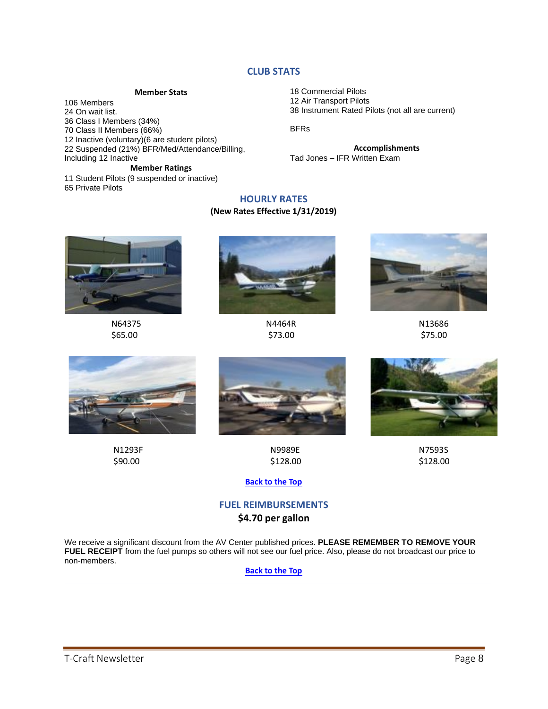## **CLUB STATS**

#### **Member Stats**

<span id="page-7-1"></span><span id="page-7-0"></span>106 Members On wait list. Class I Members (34%) Class II Members (66%) Inactive (voluntary)(6 are student pilots) Suspended (21%) BFR/Med/Attendance/Billing, Including 12 Inactive

**Member Ratings**

<span id="page-7-2"></span>11 Student Pilots (9 suspended or inactive) 65 Private Pilots

18 Commercial Pilots 12 Air Transport Pilots 38 Instrument Rated Pilots (not all are current)

BFRs

**Accomplishments** Tad Jones – IFR Written Exam

## **HOURLY RATES**

### **(New Rates Effective 1/31/2019)**











 N1293F N9989E N7593S  $$90.00$  \$128.00  $$128.00$ 

#### **[Back to the Top](#page-0-0)**

## **FUEL REIMBURSEMENTS \$4.70 per gallon**

<span id="page-7-4"></span><span id="page-7-3"></span>We receive a significant discount from the AV Center published prices. **PLEASE REMEMBER TO REMOVE YOUR FUEL RECEIPT** from the fuel pumps so others will not see our fuel price. Also, please do not broadcast our price to non-members.

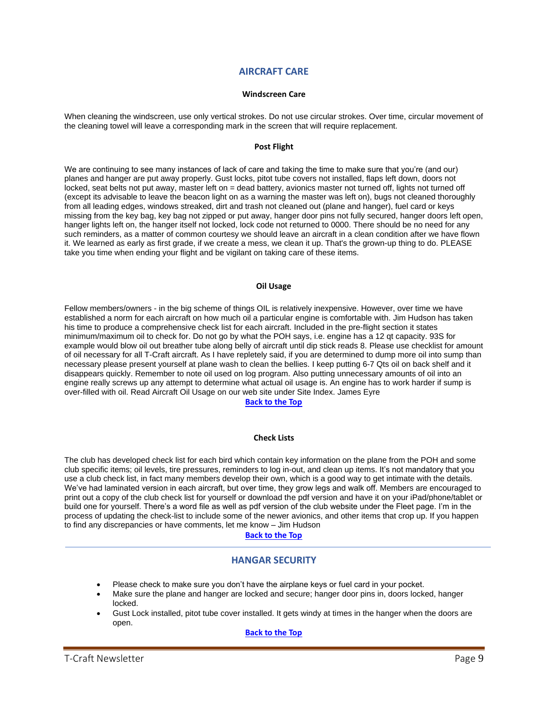## **AIRCRAFT CARE**

#### **Windscreen Care**

<span id="page-8-0"></span>When cleaning the windscreen, use only vertical strokes. Do not use circular strokes. Over time, circular movement of the cleaning towel will leave a corresponding mark in the screen that will require replacement.

#### **Post Flight**

<span id="page-8-1"></span>We are continuing to see many instances of lack of care and taking the time to make sure that you're (and our) planes and hanger are put away properly. Gust locks, pitot tube covers not installed, flaps left down, doors not locked, seat belts not put away, master left on = dead battery, avionics master not turned off, lights not turned off (except its advisable to leave the beacon light on as a warning the master was left on), bugs not cleaned thoroughly from all leading edges, windows streaked, dirt and trash not cleaned out (plane and hanger), fuel card or keys missing from the key bag, key bag not zipped or put away, hanger door pins not fully secured, hanger doors left open, hanger lights left on, the hanger itself not locked, lock code not returned to 0000. There should be no need for any such reminders, as a matter of common courtesy we should leave an aircraft in a clean condition after we have flown it. We learned as early as first grade, if we create a mess, we clean it up. That's the grown-up thing to do. PLEASE take you time when ending your flight and be vigilant on taking care of these items.

#### **Oil Usage**

<span id="page-8-2"></span>Fellow members/owners - in the big scheme of things OIL is relatively inexpensive. However, over time we have established a norm for each aircraft on how much oil a particular engine is comfortable with. Jim Hudson has taken his time to produce a comprehensive check list for each aircraft. Included in the pre-flight section it states minimum/maximum oil to check for. Do not go by what the POH says, i.e. engine has a 12 qt capacity. 93S for example would blow oil out breather tube along belly of aircraft until dip stick reads 8. Please use checklist for amount of oil necessary for all T-Craft aircraft. As I have repletely said, if you are determined to dump more oil into sump than necessary please present yourself at plane wash to clean the bellies. I keep putting 6-7 Qts oil on back shelf and it disappears quickly. Remember to note oil used on log program. Also putting unnecessary amounts of oil into an engine really screws up any attempt to determine what actual oil usage is. An engine has to work harder if sump is over-filled with oil. Read Aircraft Oil Usage on our web site under Site Index. James Eyre

## <span id="page-8-3"></span>**[Back to the Top](#page-0-0)**

#### **Check Lists**

<span id="page-8-4"></span>The club has developed check list for each bird which contain key information on the plane from the POH and some club specific items; oil levels, tire pressures, reminders to log in-out, and clean up items. It's not mandatory that you use a club check list, in fact many members develop their own, which is a good way to get intimate with the details. We've had laminated version in each aircraft, but over time, they grow legs and walk off. Members are encouraged to print out a copy of the club check list for yourself or download the pdf version and have it on your iPad/phone/tablet or build one for yourself. There's a word file as well as pdf version of the club website under the Fleet page. I'm in the process of updating the check-list to include some of the newer avionics, and other items that crop up. If you happen to find any discrepancies or have comments, let me know – Jim Hudson

#### **[Back to the Top](#page-0-0)**

## **HANGAR SECURITY**

- <span id="page-8-5"></span>• Please check to make sure you don't have the airplane keys or fuel card in your pocket.
- Make sure the plane and hanger are locked and secure; hanger door pins in, doors locked, hanger locked.
- Gust Lock installed, pitot tube cover installed. It gets windy at times in the hanger when the doors are open.